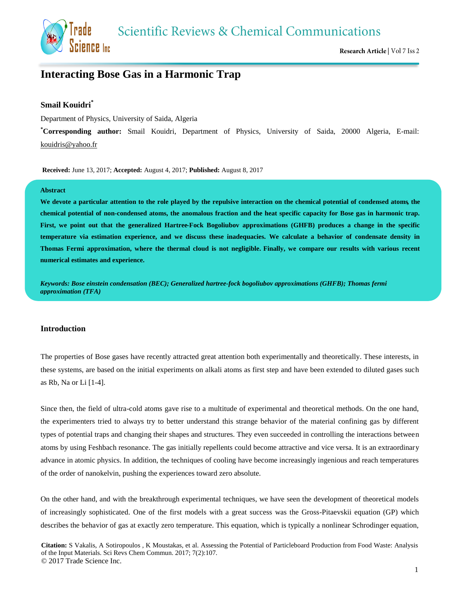**Scientific Reviews & Chemical Communications** 



# **Interacting Bose Gas in a Harmonic Trap**

## **Smail Kouidri\***

Science Inc

Department of Physics, University of Saida, Algeria

**\*Corresponding author:** Smail Kouidri, Department of Physics, University of Saida, 20000 Algeria, E-mail: [kouidris@yahoo.fr](mailto:kouidris@yahoo.fr)

**Received:** June 13, 2017; **Accepted:** August 4, 2017; **Published:** August 8, 2017

#### **Abstract**

**We devote a particular attention to the role played by the repulsive interaction on the chemical potential of condensed atoms, the chemical potential of non-condensed atoms, the anomalous fraction and the heat specific capacity for Bose gas in harmonic trap. First, we point out that the generalized Hartree-Fock Bogoliubov approximations (GHFB) produces a change in the specific temperature via estimation experience, and we discuss these inadequacies. We calculate a behavior of condensate density in Thomas Fermi approximation, where the thermal cloud is not negligible. Finally, we compare our results with various recent numerical estimates and experience.**

*Keywords: Bose einstein condensation (BEC); Generalized hartree-fock bogoliubov approximations (GHFB); Thomas fermi approximation (TFA)*

## **Introduction**

The properties of Bose gases have recently attracted great attention both experimentally and theoretically. These interests, in these systems, are based on the initial experiments on alkali atoms as first step and have been extended to diluted gases such as Rb, Na or Li [1-4].

Since then, the field of ultra-cold atoms gave rise to a multitude of experimental and theoretical methods. On the one hand, the experimenters tried to always try to better understand this strange behavior of the material confining gas by different types of potential traps and changing their shapes and structures. They even succeeded in controlling the interactions between atoms by using Feshbach resonance. The gas initially repellents could become attractive and vice versa. It is an extraordinary advance in atomic physics. In addition, the techniques of cooling have become increasingly ingenious and reach temperatures of the order of nanokelvin, pushing the experiences toward zero absolute.

On the other hand, and with the breakthrough experimental techniques, we have seen the development of theoretical models of increasingly sophisticated. One of the first models with a great success was the Gross-Pitaevskii equation (GP) which describes the behavior of gas at exactly zero temperature. This equation, which is typically a nonlinear Schrodinger equation,

**Citation:** S Vakalis, A Sotiropoulos , K Moustakas, et al. Assessing the Potential of Particleboard Production from Food Waste: Analysis of the Input Materials. Sci Revs Chem Commun. 2017; 7(2):107. © 2017 Trade Science Inc.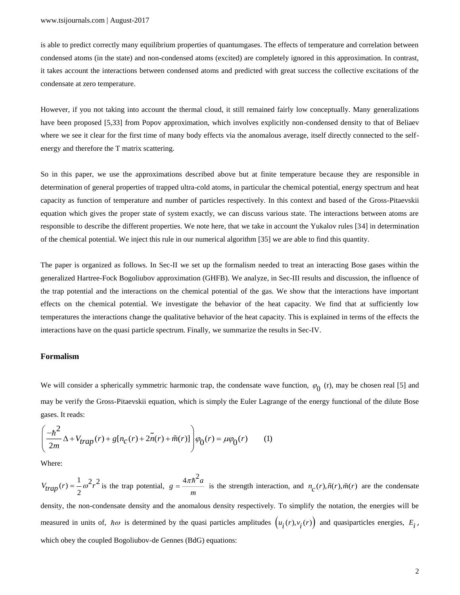is able to predict correctly many equilibrium properties of quantumgases. The effects of temperature and correlation between condensed atoms (in the state) and non-condensed atoms (excited) are completely ignored in this approximation. In contrast, it takes account the interactions between condensed atoms and predicted with great success the collective excitations of the condensate at zero temperature.

However, if you not taking into account the thermal cloud, it still remained fairly low conceptually. Many generalizations have been proposed [5,33] from Popov approximation, which involves explicitly non-condensed density to that of Beliaev where we see it clear for the first time of many body effects via the anomalous average, itself directly connected to the selfenergy and therefore the T matrix scattering.

So in this paper, we use the approximations described above but at finite temperature because they are responsible in determination of general properties of trapped ultra-cold atoms, in particular the chemical potential, energy spectrum and heat capacity as function of temperature and number of particles respectively. In this context and based of the Gross-Pitaevskii equation which gives the proper state of system exactly, we can discuss various state. The interactions between atoms are responsible to describe the different properties. We note here, that we take in account the Yukalov rules [34] in determination of the chemical potential. We inject this rule in our numerical algorithm [35] we are able to find this quantity.

The paper is organized as follows. In Sec-II we set up the formalism needed to treat an interacting Bose gases within the generalized Hartree-Fock Bogoliubov approximation (GHFB). We analyze, in Sec-III results and discussion, the influence of the trap potential and the interactions on the chemical potential of the gas. We show that the interactions have important effects on the chemical potential. We investigate the behavior of the heat capacity. We find that at sufficiently low temperatures the interactions change the qualitative behavior of the heat capacity. This is explained in terms of the effects the interactions have on the quasi particle spectrum. Finally, we summarize the results in Sec-IV.

#### **Formalism**

We will consider a spherically symmetric harmonic trap, the condensate wave function,  $\varphi_0$  (r), may be chosen real [5] and may be verify the Gross-Pitaevskii equation, which is simply the Euler Lagrange of the energy functional of the dilute Bose gases. It reads:

$$
\left(\frac{-\hbar^2}{2m}\Delta + V_{trap}(r) + g[n_c(r) + 2\tilde{n}(r) + \tilde{m}(r)]\right)\varphi_0(r) = \mu\varphi_0(r) \qquad (1)
$$

Where:

 $V_{trap}(r) = \frac{1}{2} \omega^2 r^2$  is the trap potential,  $4\pi\hbar^2a$  $g = \frac{m}{m}$  $=\frac{4\pi h a}{r}$  is the strength interaction, and  $n_c(r), \tilde{n}(r), \tilde{m}(r)$  are the condensate density, the non-condensate density and the anomalous density respectively. To simplify the notation, the energies will be measured in units of,  $\hbar \omega$  is determined by the quasi particles amplitudes  $(u_i(r), v_i(r))$  and quasiparticles energies,  $E_i$ , which obey the coupled Bogoliubov-de Gennes (BdG) equations: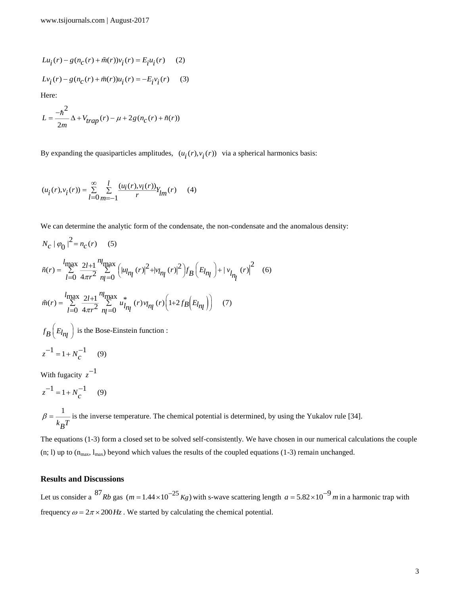$$
Lu_{\hat{i}}(r) - g(n_{C}(r) + \tilde{m}(r))v_{\hat{i}}(r) = E_{\hat{i}}u_{\hat{i}}(r)
$$
 (2)  

$$
Lv_{\hat{i}}(r) - g(n_{C}(r) + \tilde{m}(r))u_{\hat{i}}(r) = -E_{\hat{i}}v_{\hat{i}}(r)
$$
 (3)

Here:

$$
L = \frac{-\hbar^2}{2m} \Delta + V_{trap}(r) - \mu + 2g(n_c(r) + \tilde{n}(r))
$$

By expanding the quasiparticles amplitudes,  $(u_i(r), v_i(r))$  via a spherical harmonics basis:

$$
(u_i(r), v_i(r)) = \sum_{l=0}^{\infty} \sum_{m=-l}^{l} \frac{(u_i(r), v_i(r))}{r} Y_{lm}(r)
$$
 (4)

We can determine the analytic form of the condensate, the non-condensate and the anomalous density:

$$
N_c | \varphi_0 |^2 = n_c(r) \quad (5)
$$
  
\n
$$
\tilde{n}(r) = \sum_{l=0}^{l_{\text{max}}} \frac{2l+1}{4\pi r^2} \sum_{n_l=0}^{n_l_{\text{max}}} \left( |u_{l_{n_l}}(r)|^2 + |v_{l_{n_l}}(r)|^2 \right) f_B \left( E_{l_{n_l}} \right) + |v_{l_{n_l}}(r)|^2 \quad (6)
$$
  
\n
$$
\tilde{m}(r) = \sum_{l=0}^{l_{\text{max}}} \frac{2l+1}{4\pi r^2} \sum_{n_l=0}^{n_l_{\text{max}}} u_{l_{n_l}}^* (r) v_{l_{n_l}}(r) \left( 1 + 2f_B \left( E_{l_{n_l}} \right) \right) \quad (7)
$$
  
\n
$$
f_B \left( E_{l_{n_l}} \right) \text{ is the Bose-Einstein function :}
$$
  
\n
$$
z^{-1} = 1 + N_c^{-1} \quad (9)
$$

With fugacity  $z^{-1}$ 

 $z^{-1} = 1 + N_c^{-1}$  (9)  $^{-1}$  = 1 + N<sup>-1</sup>

1  $k_BT$  $\beta =$  is the inverse temperature. The chemical potential is determined, by using the Yukalov rule [34].

The equations (1-3) form a closed set to be solved self-consistently. We have chosen in our numerical calculations the couple (n; 1) up to  $(n_{max}, l_{max})$  beyond which values the results of the coupled equations (1-3) remain unchanged.

# **Results and Discussions**

Let us consider a  $^{87}$ Rb gas (m = 1.44 × 10<sup>-25</sup> Kg) with s-wave scattering length  $a = 5.82 \times 10^{-9}$  m in a harmonic trap with frequency  $\omega = 2\pi \times 200$  Hz. We started by calculating the chemical potential.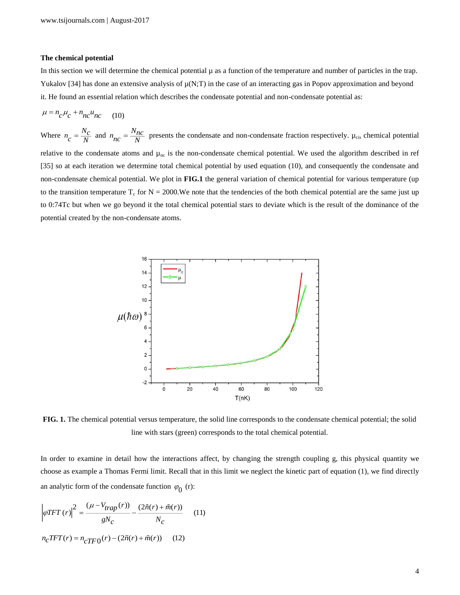#### **The chemical potential**

In this section we will determine the chemical potential  $\mu$  as a function of the temperature and number of particles in the trap. Yukalov [34] has done an extensive analysis of  $\mu(N;T)$  in the case of an interacting gas in Popov approximation and beyond it. He found an essential relation which describes the condensate potential and non-condensate potential as:

$$
\mu = n_c \mu_c + n_{nc} u_{nc} \qquad (10)
$$

Where  $n_c = \frac{N_c}{N}$  and  $n_{nc} = \frac{N_{nc}}{N}$  presents the condensate and non-condensate fraction respectively.  $\mu_{cis}$  chemical potential relative to the condensate atoms and  $\mu_{nc}$  is the non-condensate chemical potential. We used the algorithm described in ref [35] so at each iteration we determine total chemical potential by used equation (10), and consequently the condensate and non-condensate chemical potential. We plot in **FIG.1** the general variation of chemical potential for various temperature (up to the transition temperature  $T_c$  for  $N = 2000$ . We note that the tendencies of the both chemical potential are the same just up to 0:74Tc but when we go beyond it the total chemical potential stars to deviate which is the result of the dominance of the potential created by the non-condensate atoms.



**FIG. 1.** The chemical potential versus temperature, the solid line corresponds to the condensate chemical potential; the solid line with stars (green) corresponds to the total chemical potential.

In order to examine in detail how the interactions affect, by changing the strength coupling g, this physical quantity we choose as example a Thomas Fermi limit. Recall that in this limit we neglect the kinetic part of equation (1), we find directly an analytic form of the condensate function  $\varphi_0$  (r):

$$
\left|\varphi TFT\left(r\right)\right|^2 = \frac{\left(\mu - V_{trap}\left(r\right)\right)}{gN_c} - \frac{\left(2\tilde{n}(r) + \tilde{m}(r)\right)}{N_c} \tag{11}
$$
\n
$$
n_c TFT(r) = n_{cT} \left(r\right) - \left(2\tilde{n}(r) + \tilde{m}(r)\right) \tag{12}
$$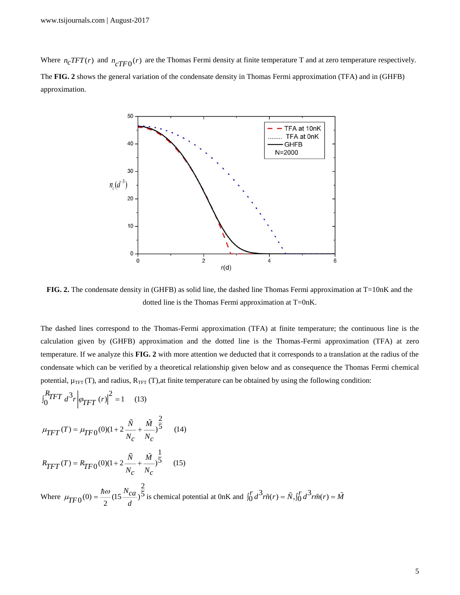Where  $n_c TFT(r)$  and  $n_c TFT(r)$  are the Thomas Fermi density at finite temperature T and at zero temperature respectively. The **FIG. 2** shows the general variation of the condensate density in Thomas Fermi approximation (TFA) and in (GHFB) approximation.



**FIG. 2.** The condensate density in (GHFB) as solid line, the dashed line Thomas Fermi approximation at T=10nK and the dotted line is the Thomas Fermi approximation at T=0nK.

The dashed lines correspond to the Thomas-Fermi approximation (TFA) at finite temperature; the continuous line is the calculation given by (GHFB) approximation and the dotted line is the Thomas-Fermi approximation (TFA) at zero temperature. If we analyze this **FIG. 2** with more attention we deducted that it corresponds to a translation at the radius of the condensate which can be verified by a theoretical relationship given below and as consequence the Thomas Fermi chemical potential,  $\mu_{TFT}(T)$ , and radius,  $R_{TFT}(T)$ , at finite temperature can be obtained by using the following condition:

$$
\int_{0}^{R} TFT \ d^{3}r \left| \varphi_{TFT} (r) \right|^{2} = 1 \quad (13)
$$
\n
$$
\mu_{TFT}(T) = \mu_{TFO}(0)(1 + 2\frac{\tilde{N}}{N_{c}} + \frac{\tilde{M}}{N_{c}})^{\frac{2}{5}} \quad (14)
$$
\n
$$
R_{TFT}(T) = R_{TF0}(0)(1 + 2\frac{\tilde{N}}{N_{c}} + \frac{\tilde{M}}{N_{c}})^{\frac{1}{5}} \quad (15)
$$

*R*

Where 2  $0^{(0)} = \frac{nw}{2} (15 \frac{r_{ca}}{d})^5$ *Nca*  $TF0^{(0)} = \frac{1}{2}$  $\mu_{TFO}(0) = \frac{h\omega}{r} (15 \frac{N_{ca}}{r})^{\frac{3}{5}}$  is chemical potential at 0nK and  $\int_0^r d^3r \tilde{n}(r) = \tilde{N}$ ,  $\int_0^r d^3r \tilde{m}(r) = \tilde{M}$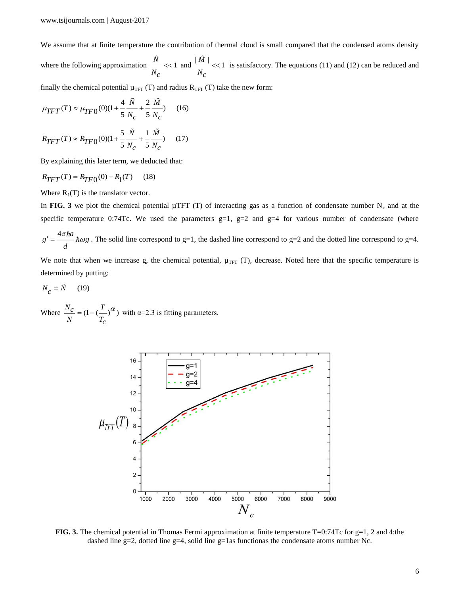We assume that at finite temperature the contribution of thermal cloud is small compared that the condensed atoms density

where the following approximation  $\frac{N}{1-\epsilon}$  << 1  $\frac{\dot{N}}{N_c}$  << 1 and  $\frac{\vert \dot{M} \vert}{N_c}$  << 1 *Nc*  $<< 1$  is satisfactory. The equations (11) and (12) can be reduced and

finally the chemical potential  $\mu_{TFT}$  (T) and radius  $R_{TFT}$  (T) take the new form:

$$
\mu_{TFT}(T) \approx \mu_{TFO}(0)(1 + \frac{4}{5} \frac{\tilde{N}}{N_c} + \frac{2}{5} \frac{\tilde{M}}{N_c})
$$
 (16)

$$
R_{TFT}(T) \approx R_{TFO}(0)(1 + \frac{5}{5} \frac{N}{N_c} + \frac{1}{5} \frac{M}{N_c})
$$
 (17)

By explaining this later term, we deducted that:

$$
R_{TFT}(T) = R_{TFO}(0) - R_1(T) \tag{18}
$$

Where  $R_1(T)$  is the translator vector.

In FIG. 3 we plot the chemical potential  $\mu$ TFT (T) of interacting gas as a function of condensate number N<sub>c</sub> and at the specific temperature 0:74Tc. We used the parameters  $g=1$ ,  $g=2$  and  $g=4$  for various number of condensate (where

$$
g' = \frac{4\pi\hbar a}{d}\hbar \omega g
$$
. The solid line correspond to g=1, the dashed line correspond to g=2 and the dotted line correspond to g=4.

We note that when we increase g, the chemical potential,  $\mu_{TFT}$  (T), decrease. Noted here that the specific temperature is determined by putting:

$$
N_c = \tilde{N} \qquad (19)
$$

Where  $\frac{N_c}{r} = (1 - (\frac{T}{r})^{\alpha})$  $N$   $T_c$  $=(1-(-)^{\alpha})$  with  $\alpha=2.3$  is fitting parameters.



**FIG. 3.** The chemical potential in Thomas Fermi approximation at finite temperature T=0:74Tc for g=1, 2 and 4:the dashed line g=2, dotted line g=4, solid line g=1as functionas the condensate atoms number Nc.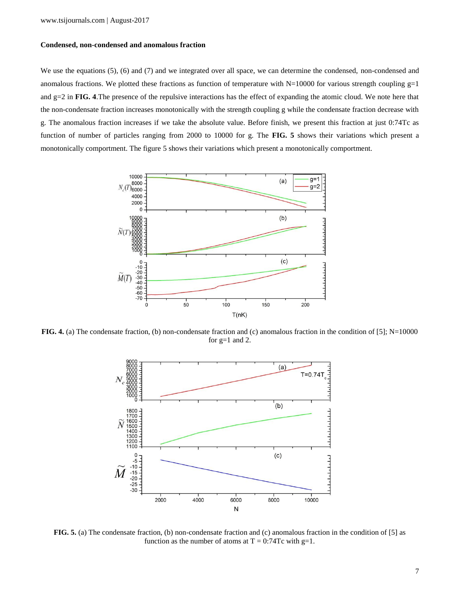## **Condensed, non-condensed and anomalous fraction**

We use the equations (5), (6) and (7) and we integrated over all space, we can determine the condensed, non-condensed and anomalous fractions. We plotted these fractions as function of temperature with  $N=10000$  for various strength coupling  $g=1$ and g=2 in **FIG. 4**.The presence of the repulsive interactions has the effect of expanding the atomic cloud. We note here that the non-condensate fraction increases monotonically with the strength coupling g while the condensate fraction decrease with g. The anomalous fraction increases if we take the absolute value. Before finish, we present this fraction at just 0:74Tc as function of number of particles ranging from 2000 to 10000 for g. The **FIG. 5** shows their variations which present a monotonically comportment. The figure 5 shows their variations which present a monotonically comportment.



**FIG. 4.** (a) The condensate fraction, (b) non-condensate fraction and (c) anomalous fraction in the condition of [5]; N=10000 for  $g=1$  and 2.



**FIG. 5.** (a) The condensate fraction, (b) non-condensate fraction and (c) anomalous fraction in the condition of [5] as function as the number of atoms at  $T = 0:74Tc$  with g=1.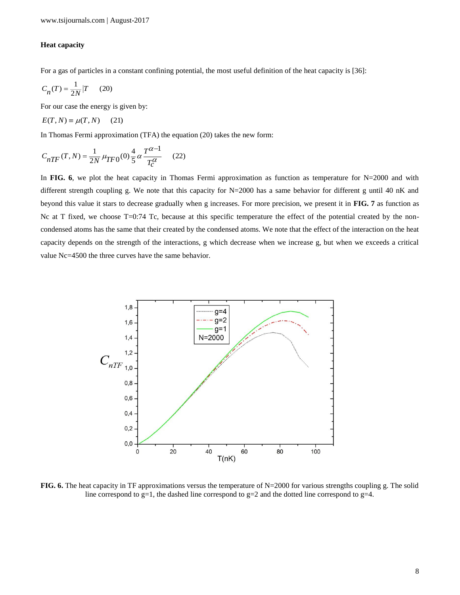## **Heat capacity**

For a gas of particles in a constant confining potential, the most useful definition of the heat capacity is [36]:

$$
C_n(T) = \frac{1}{2N} \left| T \right| \tag{20}
$$

For our case the energy is given by:

$$
E(T, N) \equiv \mu(T, N) \quad (21)
$$

In Thomas Fermi approximation (TFA) the equation (20) takes the new form:

$$
C_{nTF}(T, N) = \frac{1}{2N} \mu_{TFO}(0) \frac{4}{5} \alpha \frac{T^{\alpha - 1}}{T_c^{\alpha}} \tag{22}
$$

In FIG. 6, we plot the heat capacity in Thomas Fermi approximation as function as temperature for N=2000 and with different strength coupling g. We note that this capacity for N=2000 has a same behavior for different g until 40 nK and beyond this value it stars to decrease gradually when g increases. For more precision, we present it in **FIG. 7** as function as Nc at T fixed, we choose T=0:74 Tc, because at this specific temperature the effect of the potential created by the noncondensed atoms has the same that their created by the condensed atoms. We note that the effect of the interaction on the heat capacity depends on the strength of the interactions, g which decrease when we increase g, but when we exceeds a critical value Nc=4500 the three curves have the same behavior.



**FIG. 6.** The heat capacity in TF approximations versus the temperature of N=2000 for various strengths coupling g. The solid line correspond to g=1, the dashed line correspond to g=2 and the dotted line correspond to g=4.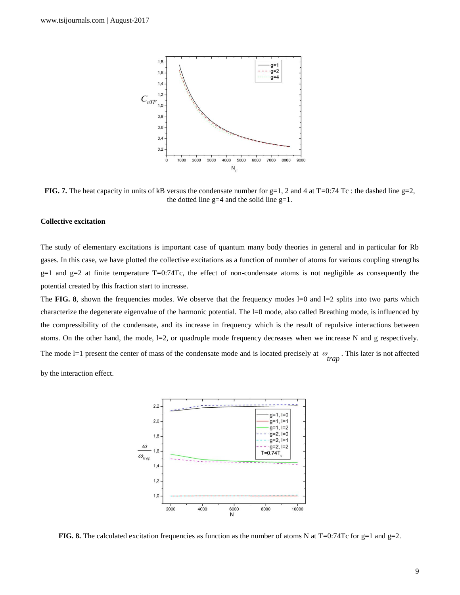

**FIG. 7.** The heat capacity in units of kB versus the condensate number for  $g=1$ , 2 and 4 at  $T=0:74$  Tc : the dashed line  $g=2$ , the dotted line  $g=4$  and the solid line  $g=1$ .

#### **Collective excitation**

The study of elementary excitations is important case of quantum many body theories in general and in particular for Rb gases. In this case, we have plotted the collective excitations as a function of number of atoms for various coupling strengths  $g=1$  and  $g=2$  at finite temperature T=0:74Tc, the effect of non-condensate atoms is not negligible as consequently the potential created by this fraction start to increase.

The **FIG.** 8, shown the frequencies modes. We observe that the frequency modes  $l=0$  and  $l=2$  splits into two parts which characterize the degenerate eigenvalue of the harmonic potential. The l=0 mode, also called Breathing mode, is influenced by the compressibility of the condensate, and its increase in frequency which is the result of repulsive interactions between atoms. On the other hand, the mode,  $l=2$ , or quadruple mode frequency decreases when we increase N and g respectively. The mode  $l=1$  present the center of mass of the condensate mode and is located precisely at  $\omega$ . This later is not affected trap

by the interaction effect.



**FIG. 8.** The calculated excitation frequencies as function as the number of atoms N at T=0:74Tc for g=1 and g=2.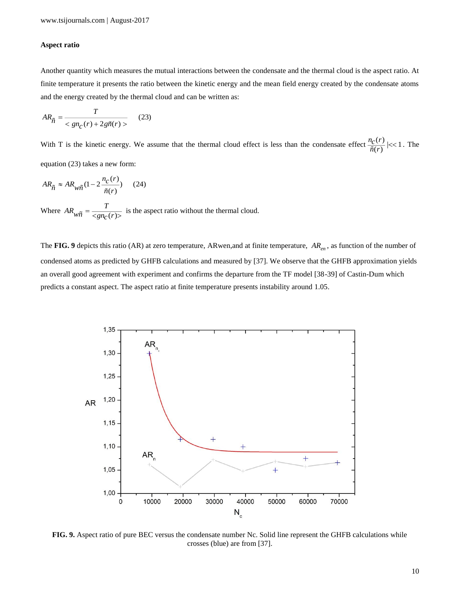## **Aspect ratio**

Another quantity which measures the mutual interactions between the condensate and the thermal cloud is the aspect ratio. At finite temperature it presents the ratio between the kinetic energy and the mean field energy created by the condensate atoms and the energy created by the thermal cloud and can be written as:

$$
AR_{\widetilde{n}} = \frac{T}{\langle g n_C(r) + 2g \widetilde{n}(r) \rangle} \tag{23}
$$

With T is the kinetic energy. We assume that the thermal cloud effect is less than the condensate effect  $\frac{n_C(r)}{\tilde{n}(r)}$  |<< 1  $\frac{r}{\tilde{n}(r)}$  | < 1. The equation (23) takes a new form:

$$
AR_{\tilde{n}} \approx AR_{w\tilde{n}}(1 - 2\frac{n_c(r)}{\tilde{n}(r)}) \quad (24)
$$

Where  $AR_{w\tilde{n}} = \frac{1}{\langle g n_c(r) \rangle}$  $AR_{w\tilde{n}} = \frac{T}{\langle g n_C(r) \rangle}$  is the aspect ratio without the thermal cloud.

The FIG. 9 depicts this ratio (AR) at zero temperature, ARwen, and at finite temperature,  $AR_{en}$ , as function of the number of condensed atoms as predicted by GHFB calculations and measured by [37]. We observe that the GHFB approximation yields an overall good agreement with experiment and confirms the departure from the TF model [38-39] of Castin-Dum which predicts a constant aspect. The aspect ratio at finite temperature presents instability around 1.05.



**FIG. 9.** Aspect ratio of pure BEC versus the condensate number Nc. Solid line represent the GHFB calculations while crosses (blue) are from [37].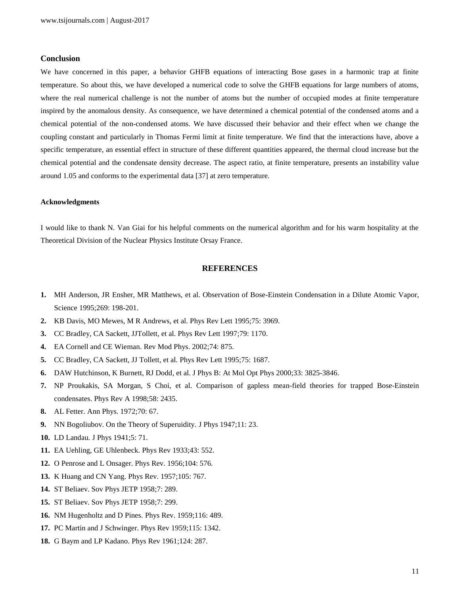#### **Conclusion**

We have concerned in this paper, a behavior GHFB equations of interacting Bose gases in a harmonic trap at finite temperature. So about this, we have developed a numerical code to solve the GHFB equations for large numbers of atoms, where the real numerical challenge is not the number of atoms but the number of occupied modes at finite temperature inspired by the anomalous density. As consequence, we have determined a chemical potential of the condensed atoms and a chemical potential of the non-condensed atoms. We have discussed their behavior and their effect when we change the coupling constant and particularly in Thomas Fermi limit at finite temperature. We find that the interactions have, above a specific temperature, an essential effect in structure of these different quantities appeared, the thermal cloud increase but the chemical potential and the condensate density decrease. The aspect ratio, at finite temperature, presents an instability value around 1.05 and conforms to the experimental data [37] at zero temperature.

#### **Acknowledgments**

I would like to thank N. Van Giai for his helpful comments on the numerical algorithm and for his warm hospitality at the Theoretical Division of the Nuclear Physics Institute Orsay France.

## **REFERENCES**

- **1.** MH Anderson, JR Ensher, MR Matthews, et al. Observation of Bose-Einstein Condensation in a Dilute Atomic Vapor, Science 1995;269: 198-201.
- **2.** KB Davis, MO Mewes, M R Andrews, et al. Phys Rev Lett 1995;75: 3969.
- **3.** CC Bradley, CA Sackett, JJTollett, et al. Phys Rev Lett 1997;79: 1170.
- **4.** EA Cornell and CE Wieman. Rev Mod Phys. 2002;74: 875.
- **5.** CC Bradley, CA Sackett, JJ Tollett, et al. Phys Rev Lett 1995;75: 1687.
- **6.** DAW Hutchinson, K Burnett, RJ Dodd, et al. J Phys B: At Mol Opt Phys 2000;33: 3825-3846.
- **7.** NP Proukakis, SA Morgan, S Choi, et al. Comparison of gapless mean-field theories for trapped Bose-Einstein condensates. Phys Rev A 1998;58: 2435.
- **8.** AL Fetter. Ann Phys. 1972;70: 67.
- **9.** NN Bogoliubov. On the Theory of Superuidity. J Phys 1947;11: 23.
- **10.** LD Landau. J Phys 1941;5: 71.
- **11.** EA Uehling, GE Uhlenbeck. Phys Rev 1933;43: 552.
- **12.** O Penrose and L Onsager. Phys Rev. 1956;104: 576.
- **13.** K Huang and CN Yang. Phys Rev. 1957;105: 767.
- **14.** ST Beliaev. Sov Phys JETP 1958;7: 289.
- **15.** ST Beliaev. Sov Phys JETP 1958;7: 299.
- **16.** NM Hugenholtz and D Pines. Phys Rev. 1959;116: 489.
- **17.** PC Martin and J Schwinger. Phys Rev 1959;115: 1342.
- **18.** G Baym and LP Kadano. Phys Rev 1961;124: 287.